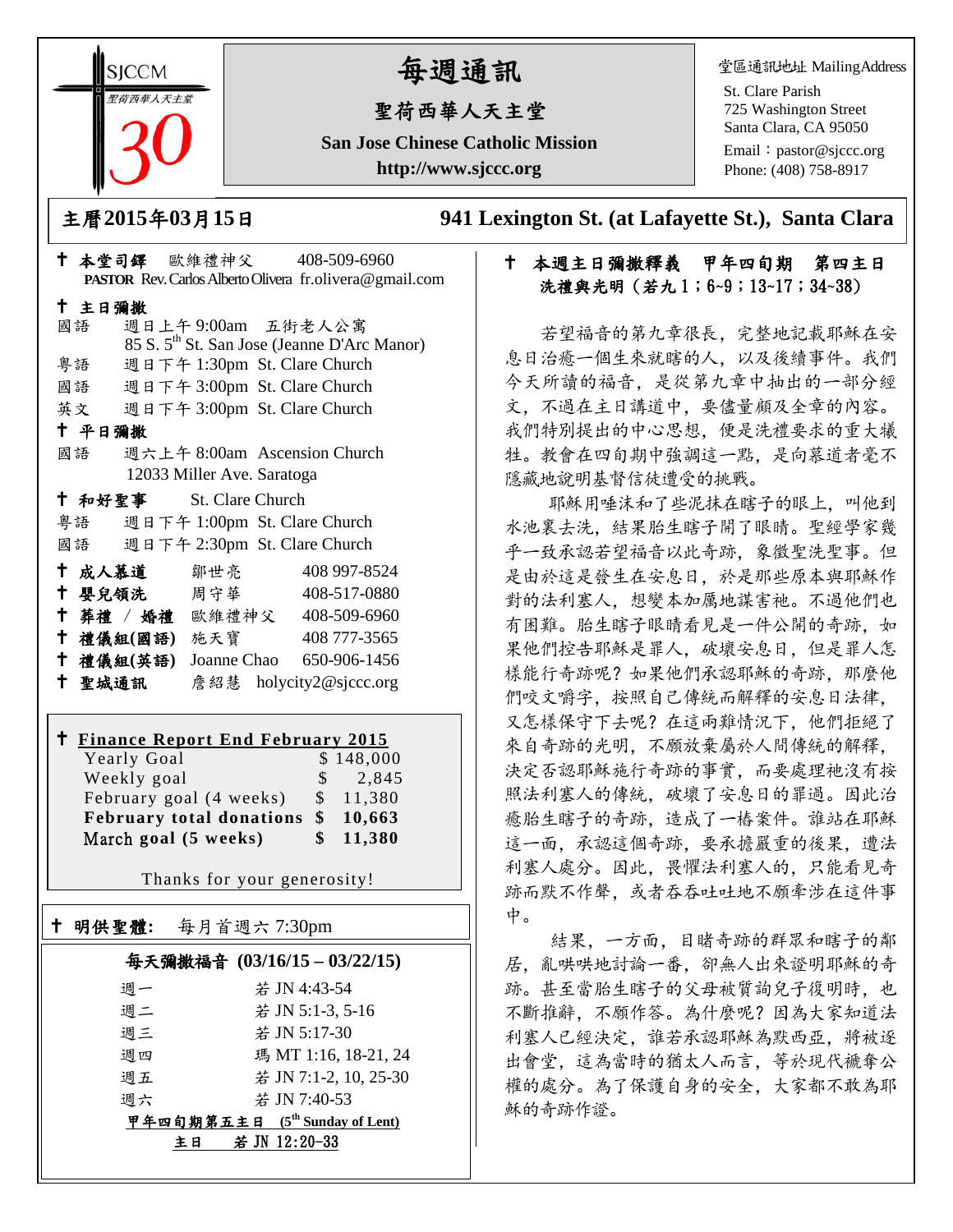**SICCM** 聖荷西華人天主堂 

# 每週通訊

## 聖荷西華人天主堂

**San Jose Chinese Catholic Mission http://www.sjccc.org**

堂區通訊地址 MailingAddress

St. Clare Parish 725 Washington Street Santa Clara, CA 95050

Email: [pastor@sjccc.org](mailto:pastor@sjccc.org) Phone: (408) 758-8917

主曆**2015**年**03**月**15**日 **941 Lexington St. (at Lafayette St.), Santa Clara** 

## 本週主日彌撒釋義 甲年四旬期 第四主日 洗禮與光明 (若九1;6~9;13~17;34~38)

 若望福音的第九章很長,完整地記載耶穌在安 息日治癒一個生來就瞎的人,以及後續事件。我們 今天所讀的福音,是從第九章中抽出的一部分經 文,不過在主日講道中,要儘量顧及全章的內容。 我們特別提出的中心思想。便是洗禮要求的重大犧 牲。教會在四旬期中強調這一點,是向慕道者毫不 隱藏地說明基督信徒遭受的挑戰。

耶穌用唾沫和了些泥抹在瞎子的眼上。叫他到 水池裏去洗,結果胎生瞎子開了眼睛。聖經學家幾 乎一致承認若望福音以此奇跡,象徵聖洗聖事。但 是由於這是發生在安息日,於是那些原本與耶穌作 對的法利塞人,想變本加厲地謀害祂。不過他們也 有困難。胎生瞎子眼睛看見是一件公開的奇跡,如 果他們控告耶穌是罪人,破壞安息日,但是罪人怎 樣能行奇跡呢?如果他們承認耶穌的奇跡, 那麼他 們咬文嚼字,按照自己傳統而解釋的安息日法律, 又怎樣保守下去呢?在這兩難情況下,他們拒絕了 來自奇跡的光明,不願放棄屬於人間傳統的解釋, 決定否認耶穌施行奇跡的事實,而要處理祂沒有按 照法利塞人的傳統,破壞了安息日的罪過。因此治 癒胎生瞎子的奇跡,造成了一樁案件。誰站在耶穌 這一面,承認這個奇跡,要承擔嚴重的後果,遭法 利塞人處分。因此,畏懼法利塞人的,只能看見奇 跡而默不作聲,或者吞吞吐吐地不願牽涉在這件事 中。

 結果,一方面,目睹奇跡的群眾和瞎子的鄰 居,亂哄哄地討論一番,卻無人出來證明耶穌的奇 跡。甚至當胎生瞎子的父母被質詢兒子復明時。也 不斷推辭,不願作答。為什麼呢?因為大家知道法 利塞人已經決定,誰若承認耶穌為默西亞,將被逐 出會堂,這為當時的猶太人而言,等於現代褫奪公 權的處分。為了保護自身的安全,大家都不敢為耶 穌的奇跡作證。

|               | † 本堂司鐸 歐維禮神父  408-509-6960         |                                                         |
|---------------|------------------------------------|---------------------------------------------------------|
|               |                                    | PASTOR Rev. Carlos Alberto Olivera fr.olivera@gmail.com |
| 十 主日彌撒        |                                    |                                                         |
| 國語            | 週日上午9:00am 五街老人公寓                  |                                                         |
|               |                                    | 85 S. 5 <sup>th</sup> St. San Jose (Jeanne D'Arc Manor) |
| 粤語            | 週日下午 1:30pm St. Clare Church       |                                                         |
|               | 國語 週日下午 3:00pm St. Clare Church    |                                                         |
|               | 英文 週日下午 3:00pm St. Clare Church    |                                                         |
| 十 平日彌撒        |                                    |                                                         |
| 國語            | 週六上午 8:00am Ascension Church       |                                                         |
|               | 12033 Miller Ave. Saratoga         |                                                         |
|               | † 和好聖事 St. Clare Church            |                                                         |
|               | 粤語 週日下午 1:00pm St. Clare Church    |                                                         |
|               | 國語 週日下午 2:30pm St. Clare Church    |                                                         |
| † 成人慕道   鄒世亮  |                                    | 408 997-8524                                            |
|               | ↑ 嬰兒領洗 周守華 408-517-0880            |                                                         |
|               | + 葬禮 / 婚禮 歐維禮神父 408-509-6960       |                                                         |
| 十 禮儀組(國語) 施天寶 |                                    | 408 777-3565                                            |
|               | † 禮儀組(英語) Joanne Chao 650-906-1456 |                                                         |
|               | + 聖城通訊   詹紹慧 holycity2@sjccc.org   |                                                         |
|               |                                    |                                                         |
|               |                                    |                                                         |

#### **Finance Report End February 2015**  $V_{\text{e}}$   $\alpha$ <sup>1</sup>  $\alpha$

| really Obal                        | 9.140,000           |
|------------------------------------|---------------------|
| Weekly goal                        | $\frac{1}{2}$ , 845 |
| February goal (4 weeks)            | \$11,380            |
| February total donations \$ 10,663 |                     |
| March goal (5 weeks)               | \$11,380            |

Thanks for your generosity!

| † 明供聖體: | 每月首週六 7:30pm               |  |
|---------|----------------------------|--|
|         | 每天彌撒福音 (03/16/15-03/22/15) |  |
| 週一      | 若 JN 4:43-54               |  |
| 週二      | 若 JN 5:1-3, 5-16           |  |
| 週三      | 若 JN 5:17-30               |  |
| 调四      | 瑪 MT 1:16, 18-21, 24       |  |
| 週五      | 若 JN 7:1-2, 10, 25-30      |  |

甲年四旬期第五主日 **(5th Sunday of Lent)**

週六 若 JN 7:40-53

主日 若 JN 12:20-33